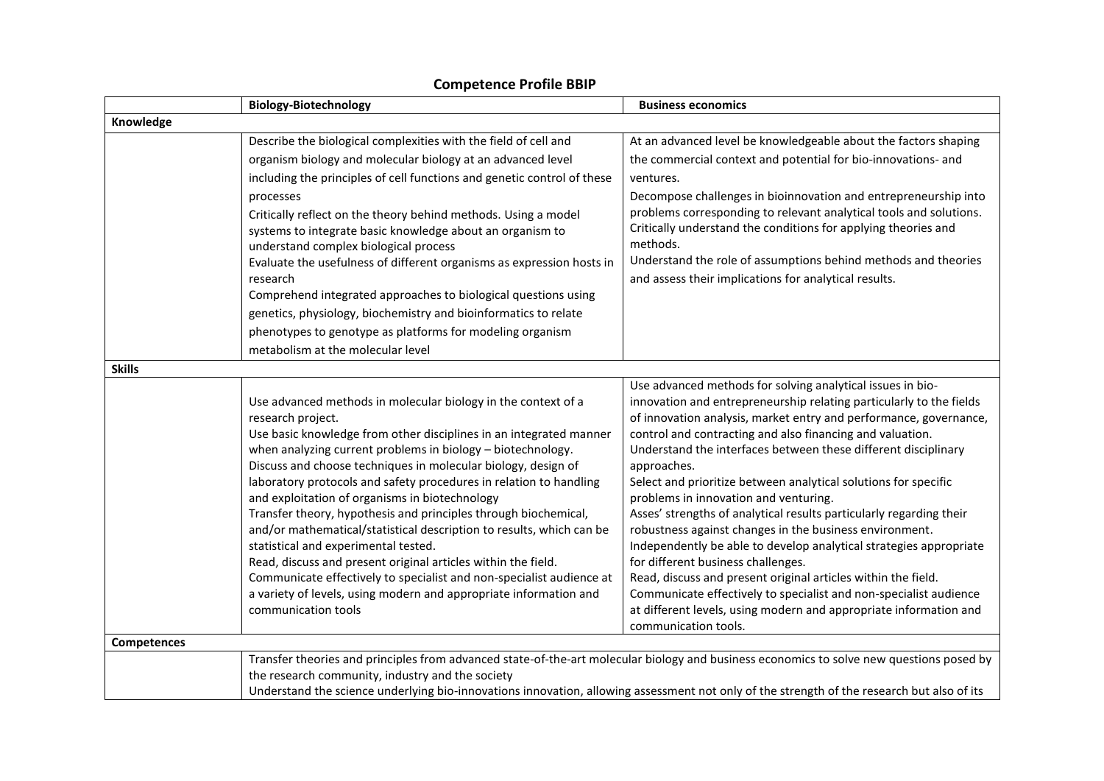|               | <b>Biology-Biotechnology</b>                                                                                                                                                                                                                                                                                                                                                                                                                                                                                                                                                                                                                                                                                                                                                                                                             | <b>Business economics</b>                                                                                                                                                                                                                                                                                                                                                                                                                                                                                                                                                                                                                                                                                                                                                                                                                                                                                                                         |
|---------------|------------------------------------------------------------------------------------------------------------------------------------------------------------------------------------------------------------------------------------------------------------------------------------------------------------------------------------------------------------------------------------------------------------------------------------------------------------------------------------------------------------------------------------------------------------------------------------------------------------------------------------------------------------------------------------------------------------------------------------------------------------------------------------------------------------------------------------------|---------------------------------------------------------------------------------------------------------------------------------------------------------------------------------------------------------------------------------------------------------------------------------------------------------------------------------------------------------------------------------------------------------------------------------------------------------------------------------------------------------------------------------------------------------------------------------------------------------------------------------------------------------------------------------------------------------------------------------------------------------------------------------------------------------------------------------------------------------------------------------------------------------------------------------------------------|
| Knowledge     |                                                                                                                                                                                                                                                                                                                                                                                                                                                                                                                                                                                                                                                                                                                                                                                                                                          |                                                                                                                                                                                                                                                                                                                                                                                                                                                                                                                                                                                                                                                                                                                                                                                                                                                                                                                                                   |
|               | Describe the biological complexities with the field of cell and                                                                                                                                                                                                                                                                                                                                                                                                                                                                                                                                                                                                                                                                                                                                                                          | At an advanced level be knowledgeable about the factors shaping                                                                                                                                                                                                                                                                                                                                                                                                                                                                                                                                                                                                                                                                                                                                                                                                                                                                                   |
|               | organism biology and molecular biology at an advanced level                                                                                                                                                                                                                                                                                                                                                                                                                                                                                                                                                                                                                                                                                                                                                                              | the commercial context and potential for bio-innovations- and                                                                                                                                                                                                                                                                                                                                                                                                                                                                                                                                                                                                                                                                                                                                                                                                                                                                                     |
|               | including the principles of cell functions and genetic control of these                                                                                                                                                                                                                                                                                                                                                                                                                                                                                                                                                                                                                                                                                                                                                                  | ventures.                                                                                                                                                                                                                                                                                                                                                                                                                                                                                                                                                                                                                                                                                                                                                                                                                                                                                                                                         |
|               | processes<br>Critically reflect on the theory behind methods. Using a model<br>systems to integrate basic knowledge about an organism to<br>understand complex biological process<br>Evaluate the usefulness of different organisms as expression hosts in<br>research<br>Comprehend integrated approaches to biological questions using<br>genetics, physiology, biochemistry and bioinformatics to relate<br>phenotypes to genotype as platforms for modeling organism<br>metabolism at the molecular level                                                                                                                                                                                                                                                                                                                            | Decompose challenges in bioinnovation and entrepreneurship into<br>problems corresponding to relevant analytical tools and solutions.<br>Critically understand the conditions for applying theories and<br>methods.<br>Understand the role of assumptions behind methods and theories<br>and assess their implications for analytical results.                                                                                                                                                                                                                                                                                                                                                                                                                                                                                                                                                                                                    |
| <b>Skills</b> |                                                                                                                                                                                                                                                                                                                                                                                                                                                                                                                                                                                                                                                                                                                                                                                                                                          |                                                                                                                                                                                                                                                                                                                                                                                                                                                                                                                                                                                                                                                                                                                                                                                                                                                                                                                                                   |
|               | Use advanced methods in molecular biology in the context of a<br>research project.<br>Use basic knowledge from other disciplines in an integrated manner<br>when analyzing current problems in biology - biotechnology.<br>Discuss and choose techniques in molecular biology, design of<br>laboratory protocols and safety procedures in relation to handling<br>and exploitation of organisms in biotechnology<br>Transfer theory, hypothesis and principles through biochemical,<br>and/or mathematical/statistical description to results, which can be<br>statistical and experimental tested.<br>Read, discuss and present original articles within the field.<br>Communicate effectively to specialist and non-specialist audience at<br>a variety of levels, using modern and appropriate information and<br>communication tools | Use advanced methods for solving analytical issues in bio-<br>innovation and entrepreneurship relating particularly to the fields<br>of innovation analysis, market entry and performance, governance,<br>control and contracting and also financing and valuation.<br>Understand the interfaces between these different disciplinary<br>approaches.<br>Select and prioritize between analytical solutions for specific<br>problems in innovation and venturing.<br>Asses' strengths of analytical results particularly regarding their<br>robustness against changes in the business environment.<br>Independently be able to develop analytical strategies appropriate<br>for different business challenges.<br>Read, discuss and present original articles within the field.<br>Communicate effectively to specialist and non-specialist audience<br>at different levels, using modern and appropriate information and<br>communication tools. |
| Competences   |                                                                                                                                                                                                                                                                                                                                                                                                                                                                                                                                                                                                                                                                                                                                                                                                                                          |                                                                                                                                                                                                                                                                                                                                                                                                                                                                                                                                                                                                                                                                                                                                                                                                                                                                                                                                                   |
|               | Transfer theories and principles from advanced state-of-the-art molecular biology and business economics to solve new questions posed by<br>the research community, industry and the society<br>Understand the science underlying bio-innovations innovation, allowing assessment not only of the strength of the research but also of its                                                                                                                                                                                                                                                                                                                                                                                                                                                                                               |                                                                                                                                                                                                                                                                                                                                                                                                                                                                                                                                                                                                                                                                                                                                                                                                                                                                                                                                                   |

## **Competence Profile BBIP**